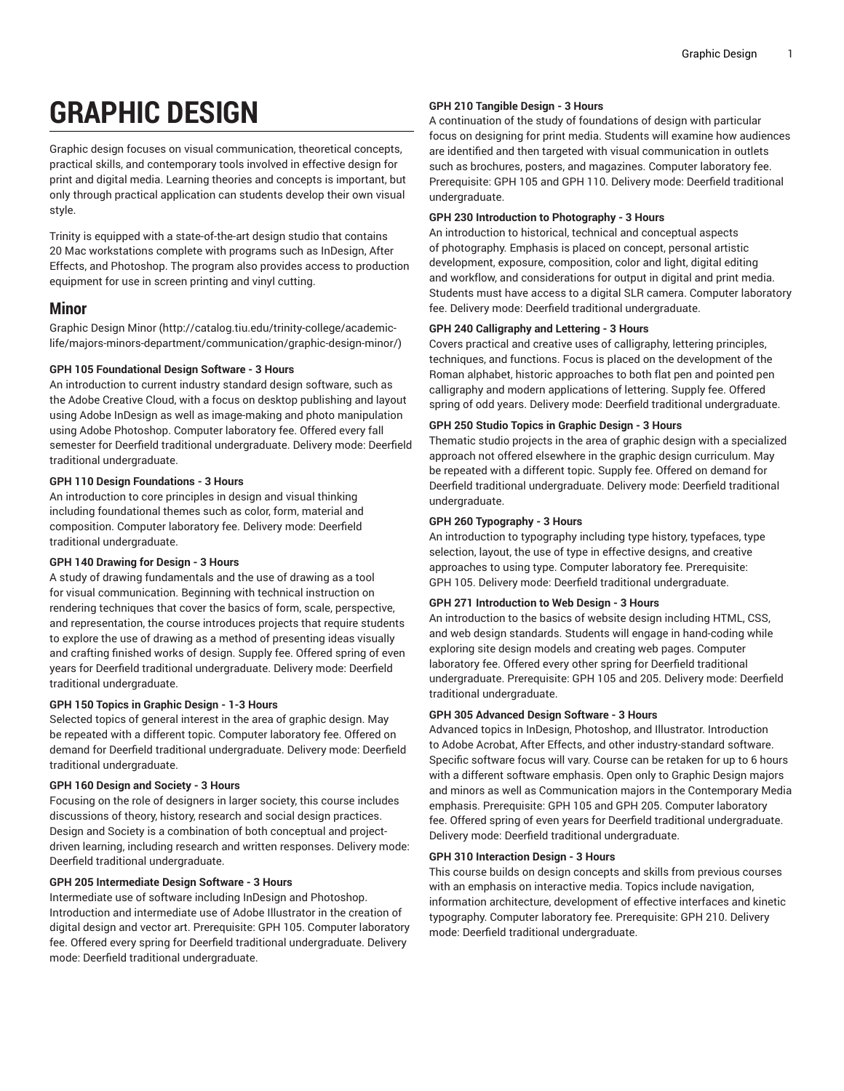# **GRAPHIC DESIGN**

Graphic design focuses on visual communication, theoretical concepts, practical skills, and contemporary tools involved in effective design for print and digital media. Learning theories and concepts is important, but only through practical application can students develop their own visual style.

Trinity is equipped with a state-of-the-art design studio that contains 20 Mac workstations complete with programs such as InDesign, After Effects, and Photoshop. The program also provides access to production equipment for use in screen printing and vinyl cutting.

## **Minor**

[Graphic Design Minor](http://catalog.tiu.edu/trinity-college/academic-life/majors-minors-department/communication/graphic-design-minor/) [\(http://catalog.tiu.edu/trinity-college/academic](http://catalog.tiu.edu/trinity-college/academic-life/majors-minors-department/communication/graphic-design-minor/)[life/majors-minors-department/communication/graphic-design-minor/\)](http://catalog.tiu.edu/trinity-college/academic-life/majors-minors-department/communication/graphic-design-minor/)

## **GPH 105 Foundational Design Software - 3 Hours**

An introduction to current industry standard design software, such as the Adobe Creative Cloud, with a focus on desktop publishing and layout using Adobe InDesign as well as image-making and photo manipulation using Adobe Photoshop. Computer laboratory fee. Offered every fall semester for Deerfield traditional undergraduate. Delivery mode: Deerfield traditional undergraduate.

## **GPH 110 Design Foundations - 3 Hours**

An introduction to core principles in design and visual thinking including foundational themes such as color, form, material and composition. Computer laboratory fee. Delivery mode: Deerfield traditional undergraduate.

## **GPH 140 Drawing for Design - 3 Hours**

A study of drawing fundamentals and the use of drawing as a tool for visual communication. Beginning with technical instruction on rendering techniques that cover the basics of form, scale, perspective, and representation, the course introduces projects that require students to explore the use of drawing as a method of presenting ideas visually and crafting finished works of design. Supply fee. Offered spring of even years for Deerfield traditional undergraduate. Delivery mode: Deerfield traditional undergraduate.

## **GPH 150 Topics in Graphic Design - 1-3 Hours**

Selected topics of general interest in the area of graphic design. May be repeated with a different topic. Computer laboratory fee. Offered on demand for Deerfield traditional undergraduate. Delivery mode: Deerfield traditional undergraduate.

## **GPH 160 Design and Society - 3 Hours**

Focusing on the role of designers in larger society, this course includes discussions of theory, history, research and social design practices. Design and Society is a combination of both conceptual and projectdriven learning, including research and written responses. Delivery mode: Deerfield traditional undergraduate.

## **GPH 205 Intermediate Design Software - 3 Hours**

Intermediate use of software including InDesign and Photoshop. Introduction and intermediate use of Adobe Illustrator in the creation of digital design and vector art. Prerequisite: GPH 105. Computer laboratory fee. Offered every spring for Deerfield traditional undergraduate. Delivery mode: Deerfield traditional undergraduate.

#### **GPH 210 Tangible Design - 3 Hours**

A continuation of the study of foundations of design with particular focus on designing for print media. Students will examine how audiences are identified and then targeted with visual communication in outlets such as brochures, posters, and magazines. Computer laboratory fee. Prerequisite: GPH 105 and GPH 110. Delivery mode: Deerfield traditional undergraduate.

#### **GPH 230 Introduction to Photography - 3 Hours**

An introduction to historical, technical and conceptual aspects of photography. Emphasis is placed on concept, personal artistic development, exposure, composition, color and light, digital editing and workflow, and considerations for output in digital and print media. Students must have access to a digital SLR camera. Computer laboratory fee. Delivery mode: Deerfield traditional undergraduate.

## **GPH 240 Calligraphy and Lettering - 3 Hours**

Covers practical and creative uses of calligraphy, lettering principles, techniques, and functions. Focus is placed on the development of the Roman alphabet, historic approaches to both flat pen and pointed pen calligraphy and modern applications of lettering. Supply fee. Offered spring of odd years. Delivery mode: Deerfield traditional undergraduate.

#### **GPH 250 Studio Topics in Graphic Design - 3 Hours**

Thematic studio projects in the area of graphic design with a specialized approach not offered elsewhere in the graphic design curriculum. May be repeated with a different topic. Supply fee. Offered on demand for Deerfield traditional undergraduate. Delivery mode: Deerfield traditional undergraduate.

## **GPH 260 Typography - 3 Hours**

An introduction to typography including type history, typefaces, type selection, layout, the use of type in effective designs, and creative approaches to using type. Computer laboratory fee. Prerequisite: GPH 105. Delivery mode: Deerfield traditional undergraduate.

## **GPH 271 Introduction to Web Design - 3 Hours**

An introduction to the basics of website design including HTML, CSS, and web design standards. Students will engage in hand-coding while exploring site design models and creating web pages. Computer laboratory fee. Offered every other spring for Deerfield traditional undergraduate. Prerequisite: GPH 105 and 205. Delivery mode: Deerfield traditional undergraduate.

## **GPH 305 Advanced Design Software - 3 Hours**

Advanced topics in InDesign, Photoshop, and Illustrator. Introduction to Adobe Acrobat, After Effects, and other industry-standard software. Specific software focus will vary. Course can be retaken for up to 6 hours with a different software emphasis. Open only to Graphic Design majors and minors as well as Communication majors in the Contemporary Media emphasis. Prerequisite: GPH 105 and GPH 205. Computer laboratory fee. Offered spring of even years for Deerfield traditional undergraduate. Delivery mode: Deerfield traditional undergraduate.

## **GPH 310 Interaction Design - 3 Hours**

This course builds on design concepts and skills from previous courses with an emphasis on interactive media. Topics include navigation, information architecture, development of effective interfaces and kinetic typography. Computer laboratory fee. Prerequisite: GPH 210. Delivery mode: Deerfield traditional undergraduate.